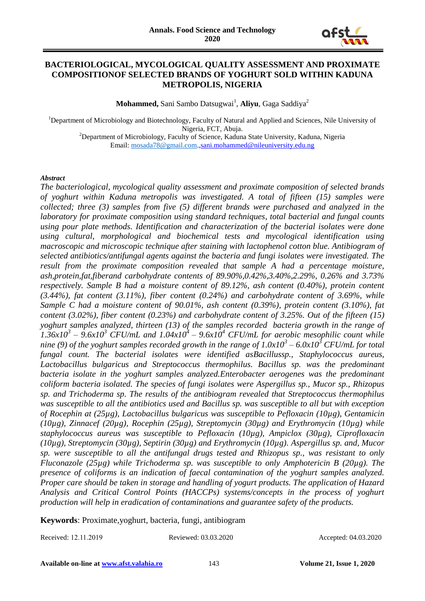

#### **BACTERIOLOGICAL, MYCOLOGICAL QUALITY ASSESSMENT AND PROXIMATE COMPOSITIONOF SELECTED BRANDS OF YOGHURT SOLD WITHIN KADUNA METROPOLIS, NIGERIA**

**Mohammed,** Sani Sambo Datsugwai<sup>1</sup>, Aliyu, Gaga Saddiya<sup>2</sup>

<sup>1</sup>Department of Microbiology and Biotechnology, Faculty of Natural and Applied and Sciences, Nile University of Nigeria, FCT, Abuja. <sup>2</sup>Department of Microbiology, Faculty of Science, Kaduna State University, Kaduna, Nigeria

Email: [mosada78@gmail.com.](mailto:mosada78@gmail.com)[,sani.mohammed@nileuniversity.edu.ng](mailto:sani.mohammed@nileuniversity.edu.ng)

#### *Abstract*

*The bacteriological, mycological quality assessment and proximate composition of selected brands of yoghurt within Kaduna metropolis was investigated. A total of fifteen (15) samples were collected; three (3) samples from five (5) different brands were purchased and analyzed in the laboratory for proximate composition using standard techniques, total bacterial and fungal counts using pour plate methods. Identification and characterization of the bacterial isolates were done using cultural, morphological and biochemical tests and mycological identification using macroscopic and microscopic technique after staining with lactophenol cotton blue. Antibiogram of selected antibiotics/antifungal agents against the bacteria and fungi isolates were investigated. The result from the proximate composition revealed that sample A had a percentage moisture, ash,protein,fat,fiberand carbohydrate contents of 89.90%,0.42%,3.40%,2.29%, 0.26% and 3.73% respectively. Sample B had a moisture content of 89.12%, ash content (0.40%), protein content (3.44%), fat content (3.11%), fiber content (0.24%) and carbohydrate content of 3.69%, while Sample C had a moisture content of 90.01%, ash content (0.39%), protein content (3.10%), fat content (3.02%), fiber content (0.23%) and carbohydrate content of 3.25%. Out of the fifteen (15) yoghurt samples analyzed, thirteen (13) of the samples recorded bacteria growth in the range of*   $1.36x10^3 - 9.6x10^3$  CFU/mL and  $1.04x10^4 - 9.6x10^4$  CFU/mL for aerobic mesophilic count while *nine (9) of the yoghurt samples recorded growth in the range of 1.0x10<sup>3</sup> – 6.0x10<sup>3</sup> CFU/mL for total fungal count. The bacterial isolates were identified asBacillussp., Staphylococcus aureus, Lactobacillus bulgaricus and Streptococcus thermophilus. Bacillus sp. was the predominant bacteria isolate in the yoghurt samples analyzed.Enterobacter aerogenes was the predominant coliform bacteria isolated. The species of fungi isolates were Aspergillus sp., Mucor sp., Rhizopus sp. and Trichoderma sp. The results of the antibiogram revealed that Streptococcus thermophilus was susceptible to all the antibiotics used and Bacillus sp. was susceptible to all but with exception of Rocephin at (25µg), Lactobacillus bulgaricus was susceptible to Pefloxacin (10µg), Gentamicin (10µg), Zinnacef (20µg), Rocephin (25µg), Streptomycin (30µg) and Erythromycin (10µg) while staphylococcus aureus was susceptible to Pefloxacin (10µg), Ampiclox (30µg), Ciprofloxacin (10µg), Streptomycin (30µg), Septirin (30µg) and Erythromycin (10µg). Aspergillus sp. and, Mucor sp. were susceptible to all the antifungal drugs tested and Rhizopus sp., was resistant to only Fluconazole (25µg) while Trichoderma sp. was susceptible to only Amphotericin B (20µg). The presence of coliforms is an indication of faecal contamination of the yoghurt samples analyzed. Proper care should be taken in storage and handling of yogurt products. The application of Hazard Analysis and Critical Control Points (HACCPs) systems/concepts in the process of yoghurt production will help in eradication of contaminations and guarantee safety of the products.*

**Keywords**: Proximate,yoghurt, bacteria, fungi, antibiogram

Received: 12.11.2019 Reviewed: 03.03.2020 Accepted: 04.03.2020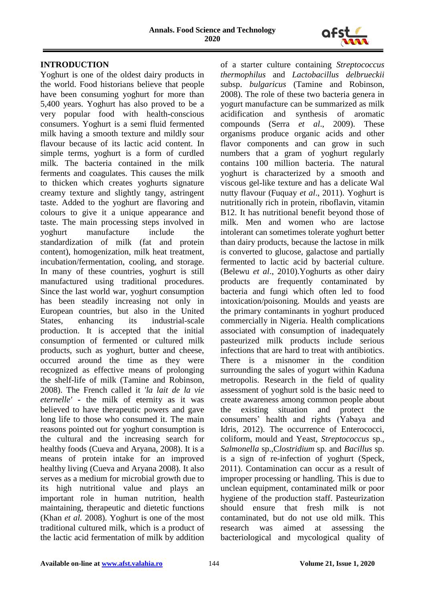

# **INTRODUCTION**

Yoghurt is one of the oldest dairy products in the world. Food historians believe that people have been consuming yoghurt for more than 5,400 years. Yoghurt has also proved to be a very popular food with health-conscious consumers. Yoghurt is a semi fluid fermented milk having a smooth texture and mildly sour flavour because of its lactic acid content. In simple terms, yoghurt is a form of curdled milk. The bacteria contained in the milk ferments and coagulates. This causes the milk to thicken which creates yoghurts signature creamy texture and slightly tangy, astringent taste. Added to the yoghurt are flavoring and colours to give it a unique appearance and taste. The main processing steps involved in yoghurt manufacture include the standardization of milk (fat and protein content), homogenization, milk heat treatment, incubation/fermentation, cooling, and storage. In many of these countries, yoghurt is still manufactured using traditional procedures. Since the last world war, yoghurt consumption has been steadily increasing not only in European countries, but also in the United States, enhancing its industrial-scale production. It is accepted that the initial consumption of fermented or cultured milk products, such as yoghurt, butter and cheese, occurred around the time as they were recognized as effective means of prolonging the shelf-life of milk (Tamine and Robinson, 2008). The French called it *'la lait de la vie eternelle'* **-** the milk of eternity as it was believed to have therapeutic powers and gave long life to those who consumed it. The main reasons pointed out for yoghurt consumption is the cultural and the increasing search for healthy foods (Cueva and Aryana, 2008). It is a means of protein intake for an improved healthy living (Cueva and Aryana 2008). It also serves as a medium for microbial growth due to its high nutritional value and plays an important role in human nutrition, health maintaining, therapeutic and dietetic functions (Khan *et al.* 2008). Yoghurt is one of the most traditional cultured milk, which is a product of the lactic acid fermentation of milk by addition of a starter culture containing *Streptococcus thermophilus* and *Lactobacillus delbrueckii* subsp. *bulgaricus* (Tamine and Robinson, 2008). The role of these two bacteria genera in yogurt manufacture can be summarized as milk acidification and synthesis of aromatic compounds (Serra *et al*., 2009). These organisms produce organic acids and other flavor components and can grow in such numbers that a gram of yoghurt regularly contains 100 million bacteria. The natural yoghurt is characterized by a smooth and viscous gel-like texture and has a delicate Wal nutty flavour (Fuquay *et al*., 2011). Yoghurt is nutritionally rich in protein, riboflavin, vitamin B12. It has nutritional benefit beyond those of milk. Men and women who are lactose intolerant can sometimes tolerate yoghurt better than dairy products, because the lactose in milk is converted to glucose, galactose and partially fermented to lactic acid by bacterial culture. (Belewu *et al*., 2010).Yoghurts as other dairy products are frequently contaminated by bacteria and fungi which often led to food intoxication/poisoning. Moulds and yeasts are the primary contaminants in yoghurt produced commercially in Nigeria. Health complications associated with consumption of inadequately pasteurized milk products include serious infections that are hard to treat with antibiotics. There is a misnomer in the condition surrounding the sales of yogurt within Kaduna metropolis. Research in the field of quality assessment of yoghurt sold is the basic need to create awareness among common people about the existing situation and protect the consumers' health and rights (Yabaya and Idris, 2012). The occurrence of Enterococci, coliform, mould and Yeast, *Streptococcus* sp., *Salmonella* sp.,C*lostridium* sp*.* and *Bacillus* sp*.* is a sign of re-infection of yoghurt (Speck, 2011). Contamination can occur as a result of improper processing or handling. This is due to unclean equipment, contaminated milk or poor hygiene of the production staff. Pasteurization should ensure that fresh milk is not contaminated, but do not use old milk. This research was aimed at assessing the bacteriological and mycological quality of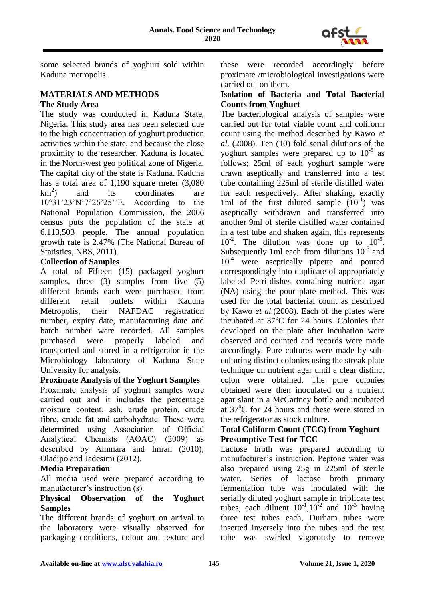

some selected brands of yoghurt sold within Kaduna metropolis.

# **MATERIALS AND METHODS The Study Area**

The study was conducted in Kaduna State, Nigeria. This study area has been selected due to the high concentration of yoghurt production activities within the state, and because the close proximity to the researcher. Kaduna is located in the North-west geo political zone of Nigeria. The capital city of the state is Kaduna. Kaduna has a total area of 1,190 square meter (3,080  $km^2$ ) and its coordinates are 10°31'23'N'7°26'25''E. According to the National Population Commission, the 2006 census puts the population of the state at 6,113,503 people. The annual population growth rate is 2.47% (The National Bureau of Statistics, NBS, 2011).

## **Collection of Samples**

A total of Fifteen (15) packaged yoghurt samples, three (3) samples from five (5) different brands each were purchased from different retail outlets within Kaduna Metropolis, their NAFDAC registration number, expiry date, manufacturing date and batch number were recorded. All samples purchased were properly labeled and transported and stored in a refrigerator in the Microbiology laboratory of Kaduna State University for analysis.

## **Proximate Analysis of the Yoghurt Samples**

Proximate analysis of yoghurt samples were carried out and it includes the percentage moisture content, ash, crude protein, crude fibre, crude fat and carbohydrate. These were determined using Association of Official Analytical Chemists (AOAC) (2009) as described by Ammara and Imran (2010); Oladipo and Jadesimi (2012).

## **Media Preparation**

All media used were prepared according to manufacturer's instruction (s).

## **Physical Observation of the Yoghurt Samples**

The different brands of yoghurt on arrival to the laboratory were visually observed for packaging conditions, colour and texture and

these were recorded accordingly before proximate /microbiological investigations were carried out on them.

#### **Isolation of Bacteria and Total Bacterial Counts from Yoghurt**

The bacteriological analysis of samples were carried out for total viable count and coliform count using the method described by Kawo *et al.* (2008). Ten (10) fold serial dilutions of the yoghurt samples were prepared up to  $10^{-5}$  as follows; 25ml of each yoghurt sample were drawn aseptically and transferred into a test tube containing 225ml of sterile distilled water for each respectively. After shaking, exactly 1ml of the first diluted sample  $(10^{-1})$  was aseptically withdrawn and transferred into another 9ml of sterile distilled water contained in a test tube and shaken again, this represents  $10^{-2}$ . The dilution was done up to  $10^{-5}$ . Subsequently 1ml each from dilutions  $10^{-3}$  and  $10^{-4}$  were aseptically pipette and poured correspondingly into duplicate of appropriately labeled Petri-dishes containing nutrient agar (NA) using the pour plate method. This was used for the total bacterial count as described by Kawo *et al.*(2008). Each of the plates were incubated at  $37^{\circ}$ C for 24 hours. Colonies that developed on the plate after incubation were observed and counted and records were made accordingly. Pure cultures were made by subculturing distinct colonies using the streak plate technique on nutrient agar until a clear distinct colon were obtained. The pure colonies obtained were then inoculated on a nutrient agar slant in a McCartney bottle and incubated at  $37^{\circ}$ C for 24 hours and these were stored in the refrigerator as stock culture.

# **Total Coliform Count (TCC) from Yoghurt Presumptive Test for TCC**

Lactose broth was prepared according to manufacturer's instruction. Peptone water was also prepared using 25g in 225ml of sterile water. Series of lactose broth primary fermentation tube was inoculated with the serially diluted yoghurt sample in triplicate test tubes, each diluent  $10^{-1}$ ,  $10^{-2}$  and  $10^{-3}$  having three test tubes each, Durham tubes were inserted inversely into the tubes and the test tube was swirled vigorously to remove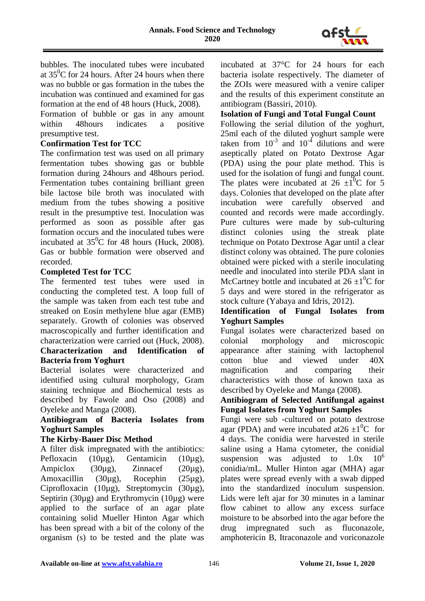

bubbles. The inoculated tubes were incubated at  $35^{\circ}$ C for 24 hours. After 24 hours when there was no bubble or gas formation in the tubes the incubation was continued and examined for gas formation at the end of 48 hours (Huck, 2008).

Formation of bubble or gas in any amount within 48hours indicates a positive presumptive test.

## **Confirmation Test for TCC**

The confirmation test was used on all primary fermentation tubes showing gas or bubble formation during 24hours and 48hours period. Fermentation tubes containing brilliant green bile lactose bile broth was inoculated with medium from the tubes showing a positive result in the presumptive test. Inoculation was performed as soon as possible after gas formation occurs and the inoculated tubes were incubated at  $35^{\circ}$ C for 48 hours (Huck, 2008). Gas or bubble formation were observed and recorded.

#### **Completed Test for TCC**

The fermented test tubes were used in conducting the completed test. A loop full of the sample was taken from each test tube and streaked on Eosin methylene blue agar (EMB) separately. Growth of colonies was observed macroscopically and further identification and characterization were carried out (Huck, 2008).

# **Characterization and Identification of Bacteria from Yoghurt**

Bacterial isolates were characterized and identified using cultural morphology, Gram staining technique and Biochemical tests as described by Fawole and Oso (2008) and Oyeleke and Manga (2008).

## **Antibiogram of Bacteria Isolates from Yoghurt Samples**

#### **The Kirby-Bauer Disc Method**

A filter disk impregnated with the antibiotics: Pefloxacin (10µg), Gentamicin (10µg), Ampiclox (30µg), Zinnacef (20µg), Amoxacillin (30µg), Rocephin (25µg), Ciprofloxacin (10µg), Streptomycin (30µg), Septirin (30µg) and Erythromycin (10µg) were applied to the surface of an agar plate containing solid Mueller Hinton Agar which has been spread with a bit of the colony of the organism (s) to be tested and the plate was incubated at 37°C for 24 hours for each bacteria isolate respectively. The diameter of the ZOIs were measured with a venire caliper and the results of this experiment constitute an antibiogram (Bassiri, 2010).

# **Isolation of Fungi and Total Fungal Count**

Following the serial dilution of the yoghurt, 25ml each of the diluted yoghurt sample were taken from  $10^{-3}$  and  $10^{-4}$  dilutions and were aseptically plated on Potato Dextrose Agar (PDA) using the pour plate method. This is used for the isolation of fungi and fungal count. The plates were incubated at 26  $\pm 1^0C$  for 5 days. Colonies that developed on the plate after incubation were carefully observed and counted and records were made accordingly. Pure cultures were made by sub-culturing distinct colonies using the streak plate technique on Potato Dextrose Agar until a clear distinct colony was obtained. The pure colonies obtained were picked with a sterile inoculating needle and inoculated into sterile PDA slant in McCartney bottle and incubated at  $26 \pm 10^{\circ}$ C for 5 days and were stored in the refrigerator as stock culture (Yabaya and Idris, 2012).

#### **Identification of Fungal Isolates from Yoghurt Samples**

Fungal isolates were characterized based on colonial morphology and microscopic appearance after staining with lactophenol cotton blue and viewed under 40X magnification and comparing their characteristics with those of known taxa as described by Oyeleke and Manga (2008).

## **Antibiogram of Selected Antifungal against Fungal Isolates from Yoghurt Samples**

Fungi were sub -cultured on potato dextrose agar (PDA) and were incubated at  $26 \pm 10^{\circ}$  for 4 days. The conidia were harvested in sterile saline using a Hama cytometer, the conidial suspension was adjusted to  $1.0x \times 10^6$ conidia/mL. Muller Hinton agar (MHA) agar plates were spread evenly with a swab dipped into the standardized inoculum suspension. Lids were left ajar for 30 minutes in a laminar flow cabinet to allow any excess surface moisture to be absorbed into the agar before the drug impregnated such as fluconazole, amphotericin B, Itraconazole and voriconazole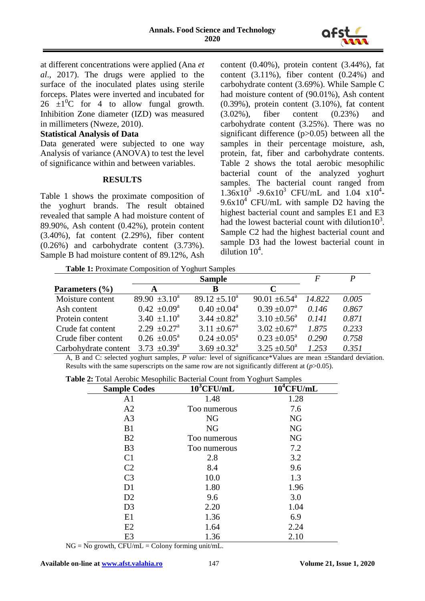

at different concentrations were applied (Ana *et al*., 2017). The drugs were applied to the surface of the inoculated plates using sterile forceps. Plates were inverted and incubated for  $26 \pm 10^{\circ}$  for 4 to allow fungal growth. Inhibition Zone diameter (IZD) was measured in millimeters (Nweze, 2010).

#### **Statistical Analysis of Data**

Data generated were subjected to one way Analysis of variance (ANOVA) to test the level of significance within and between variables.

#### **RESULTS**

Table 1 shows the proximate composition of the yoghurt brands. The result obtained revealed that sample A had moisture content of 89.90%, Ash content (0.42%), protein content (3.40%), fat content (2.29%), fiber content (0.26%) and carbohydrate content (3.73%). Sample B had moisture content of 89.12%, Ash content (0.40%), protein content (3.44%), fat content (3.11%), fiber content (0.24%) and carbohydrate content (3.69%). While Sample C had moisture content of (90.01%), Ash content (0.39%), protein content (3.10%), fat content (3.02%), fiber content (0.23%) and carbohydrate content (3.25%). There was no significant difference (p>0.05) between all the samples in their percentage moisture, ash, protein, fat, fiber and carbohydrate contents. Table 2 shows the total aerobic mesophilic bacterial count of the analyzed yoghurt samples. The bacterial count ranged from  $1.36x10^3$  -9.6x10<sup>3</sup> CFU/mL and 1.04  $x10^4$ - $9.6x10^4$  CFU/mL with sample D2 having the highest bacterial count and samples E1 and E3 had the lowest bacterial count with dilution10<sup>3</sup>. Sample C2 had the highest bacterial count and sample D3 had the lowest bacterial count in dilution  $10^4$ .

**Table 1:** Proximate Composition of Yoghurt Samples

|                      |                              | <b>Sample</b>                |                               | F      | P     |
|----------------------|------------------------------|------------------------------|-------------------------------|--------|-------|
| Parameters $(\% )$   | A                            | B                            | $\mathcal{C}_{\mathcal{C}}$   |        |       |
| Moisture content     | $89.90 \pm 3.10^a$           | $89.12 \pm 5.10^a$           | $90.01 \pm 6.54$ <sup>a</sup> | 14.822 | 0.005 |
| Ash content          | $0.42 \pm 0.09^{\text{a}}$   | $0.40 \pm 0.04^{\text{a}}$   | $0.39 \pm 0.07^{\text{a}}$    | 0.146  | 0.867 |
| Protein content      | $3.40 \pm 1.10^a$            | $3.44 \pm 0.82^{\text{a}}$   | $3.10 \pm 0.56^{\circ}$       | 0.141  | 0.871 |
| Crude fat content    | $2.29 \pm 0.27$ <sup>a</sup> | $3.11 \pm 0.67$ <sup>a</sup> | $3.02 \pm 0.67$ <sup>a</sup>  | 1.875  | 0.233 |
| Crude fiber content  | $0.26 \pm 0.05^{\text{a}}$   | $0.24 \pm 0.05^{\text{a}}$   | $0.23 \pm 0.05^{\text{a}}$    | 0.290  | 0.758 |
| Carbohydrate content | 3.73 $\pm 0.39^{\text{a}}$   | $3.69 \pm 0.32^{\text{a}}$   | $3.25 \pm 0.50^{\circ}$       | 1.253  | 0.351 |

A, B and C: selected yoghurt samples*, P value:* level of significance\*Values are mean ±Standard deviation. Results with the same superscripts on the same row are not significantly different at (*p*>0.05).

**Table 2:** Total Aerobic Mesophilic Bacterial Count from Yoghurt Samples

| <b>Sample Codes</b> | $10^3$ CFU/mL | $10^4$ CFU/mL |
|---------------------|---------------|---------------|
| A <sub>1</sub>      | 1.48          | 1.28          |
| A2                  | Too numerous  | 7.6           |
| A <sub>3</sub>      | <b>NG</b>     | NG            |
| B1                  | <b>NG</b>     | NG            |
| B <sub>2</sub>      | Too numerous  | NG            |
| B <sub>3</sub>      | Too numerous  | 7.2           |
| C <sub>1</sub>      | 2.8           | 3.2           |
| C <sub>2</sub>      | 8.4           | 9.6           |
| C <sub>3</sub>      | 10.0          | 1.3           |
| D <sub>1</sub>      | 1.80          | 1.96          |
| D2                  | 9.6           | 3.0           |
| D <sub>3</sub>      | 2.20          | 1.04          |
| E1                  | 1.36          | 6.9           |
| E2                  | 1.64          | 2.24          |
| E <sub>3</sub>      | 1.36          | 2.10          |

 $NG = No$  growth,  $CFU/mL = Colony$  forming unit/mL.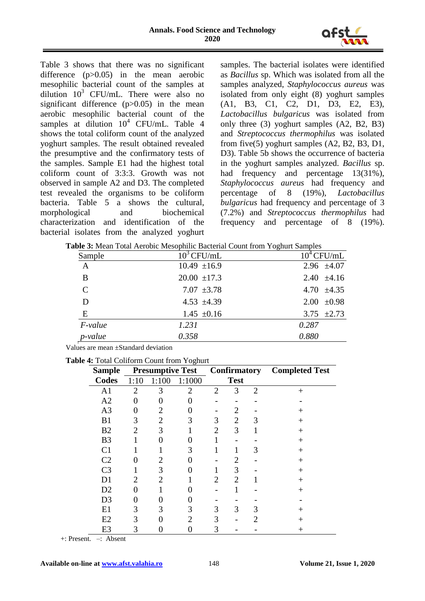

Table 3 shows that there was no significant difference (p>0.05) in the mean aerobic mesophilic bacterial count of the samples at dilution  $10^3$  CFU/mL. There were also no significant difference  $(p>0.05)$  in the mean aerobic mesophilic bacterial count of the samples at dilution  $10^4$  CFU/mL. Table 4 shows the total coliform count of the analyzed yoghurt samples. The result obtained revealed the presumptive and the confirmatory tests of the samples. Sample E1 had the highest total coliform count of 3:3:3. Growth was not observed in sample A2 and D3. The completed test revealed the organisms to be coliform bacteria. Table 5 a shows the cultural, morphological and biochemical characterization and identification of the bacterial isolates from the analyzed yoghurt samples. The bacterial isolates were identified as *Bacillus* sp. Which was isolated from all the samples analyzed, *Staphylococcus aureus* was isolated from only eight (8) yoghurt samples (A1, B3, C1, C2, D1, D3, E2, E3), *Lactobacillus bulgaricus* was isolated from only three (3) yoghurt samples (A2, B2, B3) and *Streptococcus thermophilus* was isolated from five(5) yoghurt samples (A2, B2, B3, D1, D3). Table 5b shows the occurrence of bacteria in the yoghurt samples analyzed. *Bacillus* sp. had frequency and percentage  $13(31\%)$ , *Staphylococcus aureus* had frequency and percentage of 8 (19%), *Lactobacillus bulgaricus* had frequency and percentage of 3 (7.2%) and *Streptococcus thermophilus* had frequency and percentage of 8 (19%).

**Table 3:** Mean Total Aerobic Mesophilic Bacterial Count from Yoghurt Samples

|               |                  | $\circ$         |
|---------------|------------------|-----------------|
| Sample        | $10^3$ CFU/mL    | $10^4$ CFU/mL   |
| $\mathbf{A}$  | $10.49 \pm 16.9$ | 2.96 $\pm 4.07$ |
| B             | $20.00 \pm 17.3$ | 2.40 $\pm 4.16$ |
| $\mathcal{C}$ | $7.07 \pm 3.78$  | 4.70 $\pm 4.35$ |
| D             | $4.53 \pm 4.39$  | $2.00 \pm 0.98$ |
| E             | $1.45 \pm 0.16$  | 3.75 $\pm 2.73$ |
| $F$ -value    | 1.231            | 0.287           |
| p-value       | 0.358            | 0.880           |

Values are mean ±Standard deviation

|  | Table 4: Total Coliform Count from Yoghurt |  |  |
|--|--------------------------------------------|--|--|
|  |                                            |  |  |

| <b>Sample</b>  |                |                | <b>Presumptive Test</b>     |                | <b>Confirmatory</b> |   | <b>Completed Test</b> |
|----------------|----------------|----------------|-----------------------------|----------------|---------------------|---|-----------------------|
| <b>Codes</b>   | 1:10           | 1:100          | 1:1000                      |                | <b>Test</b>         |   |                       |
| A <sub>1</sub> | $\overline{2}$ | 3              | $\overline{2}$              | $\overline{2}$ | 3                   | 2 | $^{+}$                |
| A2             | 0              | 0              | 0                           |                |                     |   |                       |
| A <sub>3</sub> |                | 2              |                             |                | 2                   |   | $^+$                  |
| B1             | 3              | $\overline{2}$ | 3                           | 3              | $\overline{2}$      |   | $\overline{+}$        |
| B2             | $\overline{2}$ | 3              |                             | $\overline{2}$ | 3                   |   | $^{+}$                |
| B <sub>3</sub> |                |                |                             |                |                     |   | $^{+}$                |
| C <sub>1</sub> |                |                | 3                           | 1              |                     | 3 | $^{+}$                |
| C <sub>2</sub> |                | 2              |                             |                | 2                   |   | $^{+}$                |
| C <sub>3</sub> |                | 3              |                             |                | 3                   |   | $\,+\,$               |
| D <sub>1</sub> | $\overline{2}$ | $\overline{2}$ |                             | $\overline{2}$ | $\overline{2}$      |   | $^{+}$                |
| D2             |                |                |                             |                |                     |   | $^{+}$                |
| D <sub>3</sub> |                |                |                             |                |                     |   |                       |
| E1             | 3              | 3              | 3                           | 3              | 3                   | 3 | $\,+\,$               |
| E2             | 3              |                | $\mathcal{D}_{\mathcal{L}}$ | 3              |                     |   | $^+$                  |
| E <sub>3</sub> | 3              |                | 0                           | 3              |                     |   | $^+$                  |

+: Present. –: Absent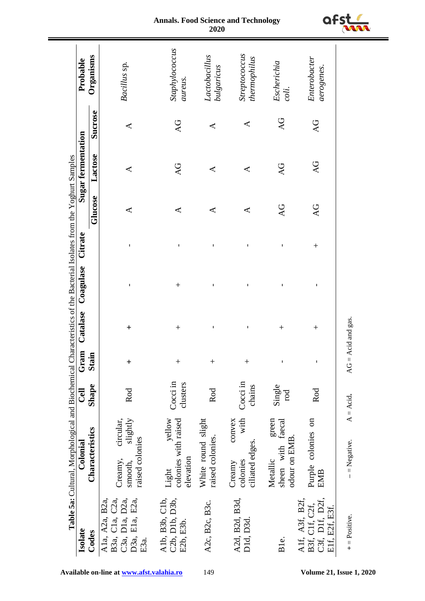| Isolate                                                                      | Table 5a: Cultural, Morphological and Biochemical Characteristics of the Bacterial Isolates from the Yoghurt Samples<br>Colonial | <b>Cell</b>          | Gram         | Catalase             | Coagulase    | Citrate      |                      | Sugar fermentation |         | Probable                      |
|------------------------------------------------------------------------------|----------------------------------------------------------------------------------------------------------------------------------|----------------------|--------------|----------------------|--------------|--------------|----------------------|--------------------|---------|-------------------------------|
| Codes                                                                        | Characteristics                                                                                                                  | Shape                | <b>Stain</b> |                      |              |              | Glucose              | Lactose            | Sucrose | Organisms                     |
| B3a, C1a, C2a,<br>A1a, A2a, B2a,<br>C3a, D1a, D2a,<br>D3a, E1a, E2a,<br>E3a. | slightly<br>circular,<br>raised colonies<br>Creamy,<br>smooth,                                                                   | Rod                  | $\ddot{}$    | $\ddag$              | $\mathsf I$  | $\mathbf{I}$ | ⋖                    | ⋖                  | ⋖       | Bacillus sp.                  |
| Alb, B3b, Clb,<br>C2b, D1b, D3b,<br>E2b, E3b.                                | vellow<br>colonies with raised<br>elevation<br>Light                                                                             | Cocci in<br>clusters | $\ddot{}$    | $^{+}$               | $^{+}$       | I            | ⋖                    | AG                 | AG      | Staphylococcus<br>aureus.     |
| A2c, B2c, B3c.                                                               | White round slight<br>raised colonies.                                                                                           | Rod                  | $^{+}$       | ı                    | ı            | ı            | $\blacktriangleleft$ | ⋖                  | ⋖       | Lactobacillus<br>bulgaricus   |
| A2d, B2d, B3d,<br>D1d, D3d.                                                  | with<br>convex<br>ciliated edges.<br>colonies<br>Creamy                                                                          | $Cocci$ in<br>chains | $^{+}$       | I                    | ı            | ı            | ⋖                    | ⋖                  | ⋖       | Streptococcus<br>thermophilus |
| Ble.                                                                         | green<br>sheen with faecal<br>odour on EMB.<br>Metallic                                                                          | Single<br>rod        | ĭ.           | $^{+}$               | ı            | ı            | AC                   | AG                 | AG      | Escherichia<br>coli.          |
| Alf, A3f, B2f,<br>C3f, D1f, D2f,<br>B3f, C1f, C2f,<br>E1f, E2f, E3f.         | Purple colonies on<br><b>EMB</b>                                                                                                 | Rod                  | $\mathbf{I}$ | $^{+}$               | $\mathbf{I}$ | $^{+}$       | $\overline{AC}$      | AG                 | AG      | Enterobacter<br>aerogenes.    |
| $+$ = Positive.                                                              | - = Negative.                                                                                                                    | $A = Acid.$          |              | $AG = Acid$ and gas. |              |              |                      |                    |         |                               |

#### **Annals. Food Science and Technology 2020**

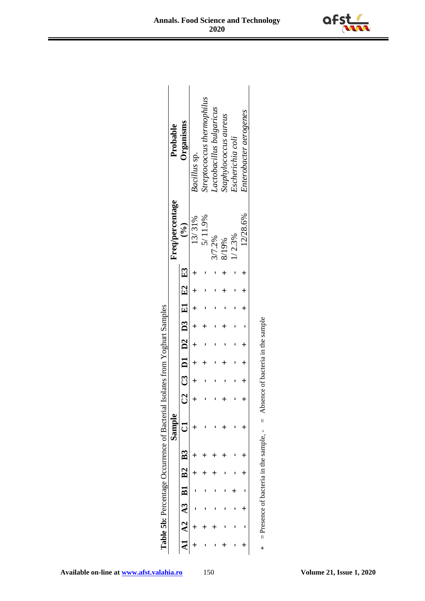|            |  |                              | <b>Table 5b:</b> Percentage Occurrence of Bacterial |                                   |                 | Isolates from Yoghurt Samples |  |             |                 |                           |
|------------|--|------------------------------|-----------------------------------------------------|-----------------------------------|-----------------|-------------------------------|--|-------------|-----------------|---------------------------|
|            |  |                              | Sample                                              |                                   |                 |                               |  |             | Freq/percentage | Probable                  |
|            |  | $A2 \t A3 \t B1 \t B2 \t B3$ |                                                     |                                   |                 | C2 C3 D1 D2 D3 E1 E2 E3       |  |             | $\binom{6}{9}$  | Organisms                 |
|            |  |                              |                                                     |                                   |                 |                               |  |             | 13/31%          | Bacillus sp.              |
|            |  |                              |                                                     |                                   |                 |                               |  |             | 5/11.9%         | treptococcus thermophilus |
|            |  |                              |                                                     |                                   |                 |                               |  |             | 3/7.2%          | Lactobacillus bulgaricus  |
|            |  |                              |                                                     |                                   |                 |                               |  | Ł           | 8/19%           | staphylococcus aureus     |
|            |  |                              |                                                     |                                   |                 |                               |  |             | 1/2.3%          | Escherichia coli          |
| $\ddagger$ |  | ╅                            |                                                     |                                   | $+$ $+$ $+$ $+$ |                               |  | $+$ $+$ $+$ | 12/28.6%        | Enterobacter aerogenes    |
|            |  |                              | $+$ = Presence of bacteria in the sample. $-$ =     | Absence of bacteria in the sample |                 |                               |  |             |                 |                           |

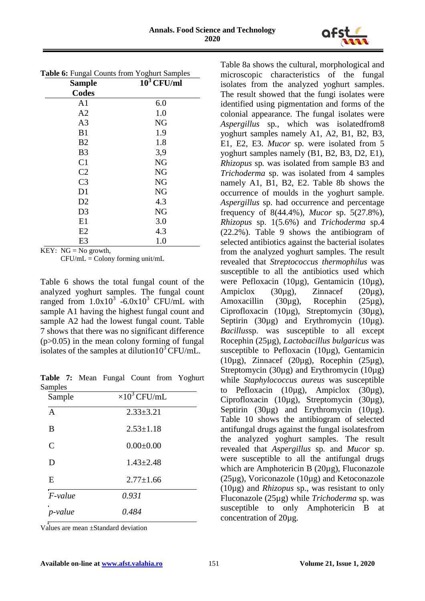

| Table 6: Fungal Counts from Yoghurt Samples |               |
|---------------------------------------------|---------------|
| <b>Sample</b>                               | $10^3$ CFU/ml |
| <b>Codes</b>                                |               |
| A1                                          | 6.0           |
| A <sub>2</sub>                              | 1.0           |
| A <sub>3</sub>                              | NG            |
| B1                                          | 1.9           |
| B2                                          | 1.8           |
| B <sub>3</sub>                              | 3,9           |
| C <sub>1</sub>                              | <b>NG</b>     |
| C <sub>2</sub>                              | <b>NG</b>     |
| C <sub>3</sub>                              | <b>NG</b>     |
| D1                                          | <b>NG</b>     |
| D2                                          | 4.3           |
| D <sub>3</sub>                              | <b>NG</b>     |
| E1                                          | 3.0           |
| E2                                          | 4.3           |
| E3                                          | 1.0           |

KEY:  $NG = No$  growth.

 $CFU/mL = Colony forming unit/mL$ 

Table 6 shows the total fungal count of the analyzed yoghurt samples. The fungal count ranged from  $1.0x10^3$  -6.0x10<sup>3</sup> CFU/mL with sample A1 having the highest fungal count and sample A2 had the lowest fungal count. Table 7 shows that there was no significant difference  $(p>0.05)$  in the mean colony forming of fungal isolates of the samples at dilution10<sup>3</sup> CFU/mL.

**Table 7:** Mean Fungal Count from Yoghurt Samples

| Sample         | $\times 10^3$ CFU/mL |
|----------------|----------------------|
| $\overline{A}$ | $2.33 \pm 3.21$      |
| B              | $2.53 \pm 1.18$      |
| $\overline{C}$ | $0.00 \pm 0.00$      |
| D              | $1.43 \pm 2.48$      |
| E              | $2.77 \pm 1.66$      |
| $F-value$      | 0.931                |
| p-value        | 0.484                |

Values are mean ±Standard deviation

Table 8a shows the cultural, morphological and microscopic characteristics of the fungal isolates from the analyzed yoghurt samples. The result showed that the fungi isolates were identified using pigmentation and forms of the colonial appearance. The fungal isolates were *Aspergillus* sp*.,* which was isolatedfrom8 yoghurt samples namely A1, A2, B1, B2, B3, E1, E2, E3. *Mucor* sp*.* were isolated from 5 yoghurt samples namely (B1, B2, B3, D2, E1), *Rhizopus* sp*.* was isolated from sample B3 and *Trichoderma* sp. was isolated from 4 samples namely A1, B1, B2, E2. Table 8b shows the occurrence of moulds in the yoghurt sample. *Aspergillus* sp. had occurrence and percentage frequency of 8(44.4%), *Mucor* sp. 5(27.8%), *Rhizopus* sp. 1(5.6%) and *Trichoderma* sp.4 (22.2%). Table 9 shows the antibiogram of selected antibiotics against the bacterial isolates from the analyzed yoghurt samples. The result revealed that *Streptococcus thermophilus* was susceptible to all the antibiotics used which were Pefloxacin (10µg), Gentamicin (10µg), Ampiclox (30µg), Zinnacef (20µg), Amoxacillin (30µg), Rocephin (25µg), Ciprofloxacin (10µg), Streptomycin (30µg), Septirin (30µg) and Erythromycin (10µg). *Bacillus*sp. was susceptible to all except Rocephin (25µg), *Lactobacillus bulgaricus* was susceptible to Pefloxacin (10µg), Gentamicin (10µg), Zinnacef (20µg), Rocephin (25µg), Streptomycin (30µg) and Erythromycin (10µg) while *Staphylococcus aureus* was susceptible to Pefloxacin (10µg), Ampiclox (30µg), Ciprofloxacin (10µg), Streptomycin (30µg), Septirin (30µg) and Erythromycin (10µg). Table 10 shows the antibiogram of selected antifungal drugs against the fungal isolatesfrom the analyzed yoghurt samples. The result revealed that *Aspergillus* sp*.* and *Mucor* sp. were susceptible to all the antifungal drugs which are Amphotericin B (20µg), Fluconazole (25µg), Voriconazole (10µg) and Ketoconazole (10µg) and *Rhizopus* sp., was resistant to only Fluconazole (25µg) while *Trichoderma* sp. was susceptible to only Amphotericin B at concentration of 20µg.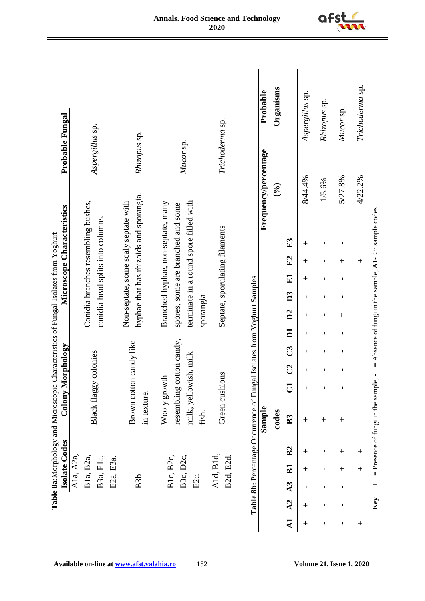| A1a, A2a,                                                         |                                                                         | Microscope Characteristics<br>Colony Morphology                                     |                      | Probable Fungal |                 |
|-------------------------------------------------------------------|-------------------------------------------------------------------------|-------------------------------------------------------------------------------------|----------------------|-----------------|-----------------|
|                                                                   |                                                                         |                                                                                     |                      |                 |                 |
| B1a, B2a,                                                         |                                                                         | Conidia branches resembling bushes,                                                 |                      |                 |                 |
| B3a, E1a,                                                         | Black flaggy colonies                                                   | conidia head splits into columns.                                                   |                      | Aspergillus sp. |                 |
| E2a, E3a.                                                         |                                                                         |                                                                                     |                      |                 |                 |
|                                                                   |                                                                         | Non-septate, some scaly septate with                                                |                      |                 |                 |
| B <sub>3</sub> b                                                  | Brown cotton candy like<br>in texture.                                  | hyphae that has rhizoids and sporangia.                                             |                      | Rhizopus sp.    |                 |
|                                                                   | Wooly growth                                                            | Branched hyphae, non-septate, many                                                  |                      |                 |                 |
| B3c, D2c,<br>B1c, B2c,                                            | cotton candy,<br>resembling                                             | spores, some are branched and some                                                  |                      |                 |                 |
| E2c.                                                              | milk, yellowish, milk<br>fish.                                          | terminate in a round spore filled with<br>sporangia                                 |                      | Mucor sp.       |                 |
| A1d, B1d,                                                         |                                                                         |                                                                                     |                      |                 |                 |
| B2d, E2d.                                                         | Green cushions                                                          | Septate, sporulating filaments                                                      |                      | Trichoderma sp. |                 |
|                                                                   | Table 8b: Percentage Occurrence of Fungal Isolates from Yoghurt Samples |                                                                                     |                      |                 |                 |
|                                                                   | Sample                                                                  |                                                                                     | Frequency/percentage |                 | Probable        |
|                                                                   | codes                                                                   |                                                                                     | $\mathcal{S}$        |                 | Organisms       |
| B <sub>2</sub><br>$_{\rm B1}$<br>A <sub>3</sub><br>A <sub>2</sub> | C <sub>2</sub><br>$\overline{C}$<br>B <sub>3</sub>                      | E3<br>E2<br>E1<br>D <sub>3</sub><br>D2<br>$\overline{\mathbf{D}}$<br>$\mathbb{C}^3$ |                      |                 |                 |
| $\ddag$<br>┿<br>$\pm$                                             | $\pm$                                                                   | ┿<br>$\ddag$<br>$\ddag$<br>п                                                        | 8/44.4%              |                 | Aspergillus sp. |
| ı<br>ı<br>ı                                                       | ı<br>$\ddag$                                                            | ı<br>ı<br>ı<br>ı<br>ı<br>r                                                          | 1/5.6%               |                 | Rhizopus sp.    |
| $\ddag$<br>$\ddag$<br>t<br>t                                      | t<br>$\ddag$                                                            | t<br>$\ddag$<br>t<br>٠<br>$\ddag$<br>п<br>t                                         | 5/27.8%              |                 | Mucor sp.       |
| $\ddag$<br>$\ddag$                                                |                                                                         |                                                                                     | 4/22.2%              |                 | Trichoderma sp. |



**Key**  $+$  = Presence of fungi in the sample,  $-$  = Absence of fungi in the sample, A1-E3: sample codes

Key

+ = Presence of fungi in the sample,  $-$  = Absence of fungi in the sample, A1-E3: sample codes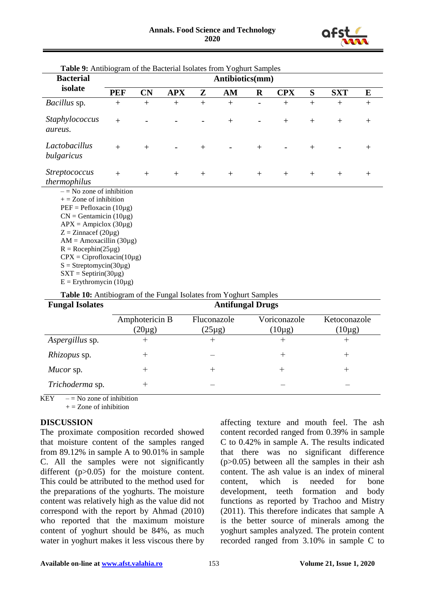

| <b>Bacterial</b>                                                                                                                                                                                                                                                                                                                                                                                                                    |            |           |            |     | Antibiotics(mm) |         |            |        |            |        |
|-------------------------------------------------------------------------------------------------------------------------------------------------------------------------------------------------------------------------------------------------------------------------------------------------------------------------------------------------------------------------------------------------------------------------------------|------------|-----------|------------|-----|-----------------|---------|------------|--------|------------|--------|
| isolate                                                                                                                                                                                                                                                                                                                                                                                                                             | <b>PEF</b> | <b>CN</b> | <b>APX</b> | Z   | AM              | $\bf R$ | <b>CPX</b> | S      | <b>SXT</b> | E      |
| <i>Bacillus</i> sp.                                                                                                                                                                                                                                                                                                                                                                                                                 | $^{+}$     | $+$       |            | $+$ | $+$             |         | $+$        | $+$    | $^{+}$     |        |
| Staphylococcus<br>aureus.                                                                                                                                                                                                                                                                                                                                                                                                           | $+$        |           |            |     | $+$             |         | $+$        | $^{+}$ | $^{+}$     | $^{+}$ |
| Lactobacillus<br>bulgaricus                                                                                                                                                                                                                                                                                                                                                                                                         | $+$        | $+$       |            | $+$ |                 | $+$     |            | $^{+}$ |            | $+$    |
| <i>Streptococcus</i><br>thermophilus                                                                                                                                                                                                                                                                                                                                                                                                | $+$        | $+$       | $+$        | $+$ | $+$             | $+$     | $+$        | $^{+}$ | $^{+}$     | $^{+}$ |
| $-$ = No zone of inhibition<br>$+$ = Zone of inhibition<br>$PEF = Peflox (10\mu g)$<br>$CN =$ Gentamicin (10µg)<br>$APX = Ampiclox (30\mu g)$<br>$Z = Zinnacef(20\mu g)$<br>$AM = Amoxacillin (30\mug)$<br>$R = Rocephin(25\mu g)$<br>$CPX = Ciproflox (10\mu g)$<br>$S =$ Streptomycin(30µg)<br>$SXT = Septirin(30\mu g)$<br>$E =$ Erythromycin (10µg)<br><b>Table 10:</b> Antibiogram of the Fungal Isolates from Yoghurt Samples |            |           |            |     |                 |         |            |        |            |        |

**Table 9:** Antibiogram of the Bacterial Isolates from Yoghurt Samples

| <b>Fungal Isolates</b> | <b>Antifungal Drugs</b>       |                            |                             |                             |
|------------------------|-------------------------------|----------------------------|-----------------------------|-----------------------------|
|                        | Amphotericin B<br>$(20\mu g)$ | Fluconazole<br>$(25\mu g)$ | Voriconazole<br>$(10\mu g)$ | Ketoconazole<br>$(10\mu g)$ |
| Aspergillus sp.        | $\pm$                         | $^+$                       | $^+$                        | $^{+}$                      |
| Rhizopus sp.           | $^{+}$                        |                            | $^{+}$                      | $^{+}$                      |
| Mucor sp.              | $^{+}$                        | $^+$                       | $^+$                        | $\,$                        |
| Trichoderma sp.        | $\,+\,$                       |                            |                             |                             |

KEY  $-$  = No zone of inhibition

 $+ =$  Zone of inhibition

#### **DISCUSSION**

The proximate composition recorded showed that moisture content of the samples ranged from 89.12% in sample A to 90.01% in sample C. All the samples were not significantly different (p>0.05) for the moisture content. This could be attributed to the method used for the preparations of the yoghurts. The moisture content was relatively high as the value did not correspond with the report by Ahmad (2010) who reported that the maximum moisture content of yoghurt should be 84%, as much water in yoghurt makes it less viscous there by affecting texture and mouth feel. The ash content recorded ranged from 0.39% in sample C to 0.42% in sample A. The results indicated that there was no significant difference (p>0.05) between all the samples in their ash content. The ash value is an index of mineral content, which is needed for bone development, teeth formation and body functions as reported by Trachoo and Mistry (2011). This therefore indicates that sample A is the better source of minerals among the yoghurt samples analyzed. The protein content recorded ranged from 3.10% in sample C to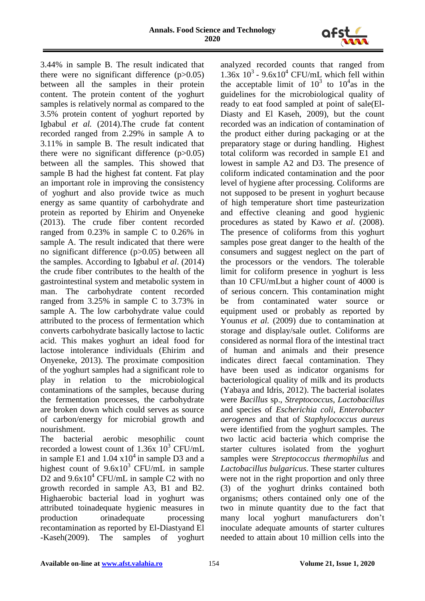

3.44% in sample B. The result indicated that there were no significant difference  $(p>0.05)$ between all the samples in their protein content. The protein content of the yoghurt samples is relatively normal as compared to the 3.5% protein content of yoghurt reported by Igbabul *et al.* (2014).The crude fat content recorded ranged from 2.29% in sample A to 3.11% in sample B. The result indicated that there were no significant difference  $(p>0.05)$ between all the samples. This showed that sample B had the highest fat content. Fat play an important role in improving the consistency of yoghurt and also provide twice as much energy as same quantity of carbohydrate and protein as reported by Ehirim and Onyeneke (2013). The crude fiber content recorded ranged from 0.23% in sample C to 0.26% in sample A. The result indicated that there were no significant difference (p>0.05) between all the samples. According to Igbabul *et al*. (2014) the crude fiber contributes to the health of the gastrointestinal system and metabolic system in man. The carbohydrate content recorded ranged from 3.25% in sample C to 3.73% in sample A. The low carbohydrate value could attributed to the process of fermentation which converts carbohydrate basically lactose to lactic acid. This makes yoghurt an ideal food for lactose intolerance individuals (Ehirim and Onyeneke, 2013). The proximate composition of the yoghurt samples had a significant role to play in relation to the microbiological contaminations of the samples, because during the fermentation processes, the carbohydrate are broken down which could serves as source of carbon/energy for microbial growth and nourishment.

The bacterial aerobic mesophilic count recorded a lowest count of  $1.36x\;10^3$  CFU/mL in sample E1 and  $1.04 \times 10^4$  in sample D3 and a highest count of  $9.6x10^3$  CFU/mL in sample D2 and  $9.6x10^4$  CFU/mL in sample C2 with no growth recorded in sample A3, B1 and B2. Highaerobic bacterial load in yoghurt was attributed toinadequate hygienic measures in production orinadequate processing recontamination as reported by El-Diastyand El -Kaseh(2009). The samples of yoghurt

analyzed recorded counts that ranged from  $1.36x$   $10^3$  -  $9.6x10^4$  CFU/mL which fell within the acceptable limit of  $10^3$  to  $10^4$  as in the guidelines for the microbiological quality of ready to eat food sampled at point of sale(El-Diasty and El Kaseh, 2009), but the count recorded was an indication of contamination of the product either during packaging or at the preparatory stage or during handling. Highest total coliform was recorded in sample E1 and lowest in sample A2 and D3. The presence of coliform indicated contamination and the poor level of hygiene after processing. Coliforms are not supposed to be present in yoghurt because of high temperature short time pasteurization and effective cleaning and good hygienic procedures as stated by Kawo *et al*. (2008). The presence of coliforms from this yoghurt samples pose great danger to the health of the consumers and suggest neglect on the part of the processors or the vendors. The tolerable limit for coliform presence in yoghurt is less than 10 CFU/mLbut a higher count of 4000 is of serious concern. This contamination might be from contaminated water source or equipment used or probably as reported by Younus *et al.* (2009) due to contamination at storage and display/sale outlet. Coliforms are considered as normal flora of the intestinal tract of human and animals and their presence indicates direct faecal contamination. They have been used as indicator organisms for bacteriological quality of milk and its products (Yabaya and Idris, 2012). The bacterial isolates were *Bacillus* sp., *Streptococcus, Lactobacillus* and species of *Escherichia coli, Enterobacter aerogenes* and that of *Staphylococcus aureus*  were identified from the yoghurt samples. The two lactic acid bacteria which comprise the starter cultures isolated from the yoghurt samples were *Streptococcus thermophilus* and *Lactobacillus bulgaricus*. These starter cultures were not in the right proportion and only three (3) of the yoghurt drinks contained both organisms; others contained only one of the two in minute quantity due to the fact that many local yoghurt manufacturers don't inoculate adequate amounts of starter cultures needed to attain about 10 million cells into the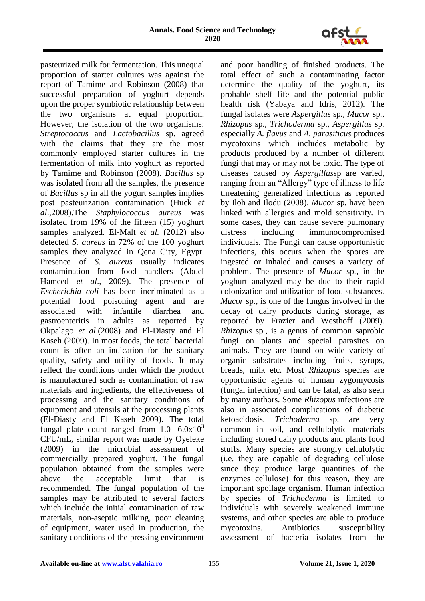

pasteurized milk for fermentation. This unequal proportion of starter cultures was against the report of Tamime and Robinson (2008) that successful preparation of yoghurt depends upon the proper symbiotic relationship between the two organisms at equal proportion. However, the isolation of the two organisms: *Streptococcus* and *Lactobacillus* sp. agreed with the claims that they are the most commonly employed starter cultures in the fermentation of milk into yoghurt as reported by Tamime and Robinson (2008). *Bacillus* sp was isolated from all the samples, the presence of *Bacillus* sp in all the yogurt samples implies post pasteurization contamination (Huck *et al*.,2008).The *Staphylococcus aureus* was isolated from 19% of the fifteen (15) yoghurt samples analyzed. El-Malt *et al.* (2012) also detected *S. aureus* in 72% of the 100 yoghurt samples they analyzed in Qena City, Egypt. Presence of *S. aureus* usually indicates contamination from food handlers (Abdel Hameed *et al*., 2009). The presence of *Escherichia coli* has been incriminated as a potential food poisoning agent and are associated with infantile diarrhea and gastroenteritis in adults as reported by Okpalago *et al*.(2008) and El-Diasty and El Kaseh (2009). In most foods, the total bacterial count is often an indication for the sanitary quality, safety and utility of foods. It may reflect the conditions under which the product is manufactured such as contamination of raw materials and ingredients, the effectiveness of processing and the sanitary conditions of equipment and utensils at the processing plants (El-Diasty and El Kaseh 2009). The total fungal plate count ranged from  $1.0 \div 6.0 \times 10^3$ CFU/mL, similar report was made by Oyeleke (2009) in the microbial assessment of commercially prepared yoghurt. The fungal population obtained from the samples were above the acceptable limit that is recommended. The fungal population of the samples may be attributed to several factors which include the initial contamination of raw materials, non-aseptic milking, poor cleaning of equipment, water used in production, the sanitary conditions of the pressing environment

and poor handling of finished products. The total effect of such a contaminating factor determine the quality of the yoghurt, its probable shelf life and the potential public health risk (Yabaya and Idris, 2012). The fungal isolates were *Aspergillus* sp*., Mucor* sp*., Rhizopus* sp.*, Trichoderma* sp., *Aspergillus* sp*.* especially *A. flavus* and *A. parasiticus* produces mycotoxins which includes metabolic by products produced by a number of different fungi that may or may not be toxic. The type of diseases caused by *Aspergillus*sp are varied, ranging from an "Allergy" type of illness to life threatening generalized infections as reported by Iloh and Ilodu (2008). *Mucor* sp*.* have been linked with allergies and mold sensitivity. In some cases, they can cause severe pulmonary distress including immunocompromised individuals. The Fungi can cause opportunistic infections, this occurs when the spores are ingested or inhaled and causes a variety of problem. The presence of *Mucor* sp*.,* in the yoghurt analyzed may be due to their rapid colonization and utilization of food substances. *Mucor* sp*.,* is one of the fungus involved in the decay of dairy products during storage, as reported by Frazier and Westhoff (2009). *Rhizopus* sp*.,* is a genus of common saprobic fungi on plants and special parasites on animals. They are found on wide variety of organic substrates including fruits, syrups, breads, milk etc. Most *Rhizopus* species are opportunistic agents of human zygomycosis (fungal infection) and can be fatal, as also seen by many authors. Some *Rhizopus* infections are also in associated complications of diabetic ketoacidosis. *Trichoderma* sp. are very common in soil, and cellulolytic materials including stored dairy products and plants food stuffs. Many species are strongly cellulolytic (i.e. they are capable of degrading cellulose since they produce large quantities of the enzymes cellulose) for this reason, they are important spoilage organism. Human infection by species of *Trichoderma* is limited to individuals with severely weakened immune systems, and other species are able to produce mycotoxins. Antibiotics susceptibility assessment of bacteria isolates from the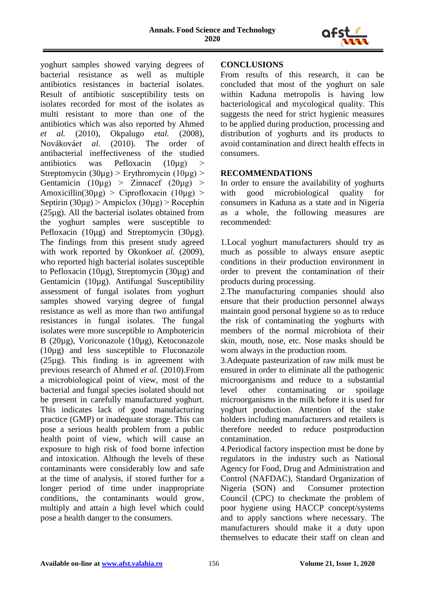

yoghurt samples showed varying degrees of bacterial resistance as well as multiple antibiotics resistances in bacterial isolates. Result of antibiotic susceptibility tests on isolates recorded for most of the isolates as multi resistant to more than one of the antibiotics which was also reported by Ahmed *et al.* (2010), Okpalugo *etal.* (2008), Nováková*et al.* (2010). The order of antibacterial ineffectiveness of the studied antibiotics was Pefloxacin  $(10\mu$ g) > Streptomycin  $(30\mu g)$  > Erythromycin  $(10\mu g)$  > Gentamicin  $(10\mu g) >$  Zinnacef  $(20\mu g) >$ Amoxicillin(30µg) > Ciprofloxacin (10µg) > Septirin  $(30\mu$ g) > Ampiclox  $(30\mu$ g) > Rocephin (25µg). All the bacterial isolates obtained from the yoghurt samples were susceptible to Pefloxacin (10µg) and Streptomycin (30µg). The findings from this present study agreed with work reported by Okonko*et al*. (2009), who reported high bacterial isolates susceptible to Pefloxacin (10µg), Streptomycin (30µg) and Gentamicin (10µg). Antifungal Susceptibility assessment of fungal isolates from yoghurt samples showed varying degree of fungal resistance as well as more than two antifungal resistances in fungal isolates. The fungal isolates were more susceptible to Amphotericin B (20µg), Voriconazole (10µg), Ketoconazole (10µg) and less susceptible to Fluconazole  $(25\mu g)$ . This finding is in agreement with previous research of Ahmed *et al.* (2010).From a microbiological point of view, most of the bacterial and fungal species isolated should not be present in carefully manufactured yoghurt. This indicates lack of good manufacturing practice (GMP) or inadequate storage. This can pose a serious health problem from a public health point of view, which will cause an exposure to high risk of food borne infection and intoxication. Although the levels of these contaminants were considerably low and safe at the time of analysis, if stored further for a longer period of time under inappropriate conditions, the contaminants would grow, multiply and attain a high level which could pose a health danger to the consumers.

## **CONCLUSIONS**

From results of this research, it can be concluded that most of the yoghurt on sale within Kaduna metropolis is having low bacteriological and mycological quality. This suggests the need for strict hygienic measures to be applied during production, processing and distribution of yoghurts and its products to avoid contamination and direct health effects in consumers.

## **RECOMMENDATIONS**

In order to ensure the availability of yoghurts with good microbiological quality for consumers in Kaduna as a state and in Nigeria as a whole, the following measures are recommended:

1.Local yoghurt manufacturers should try as much as possible to always ensure aseptic conditions in their production environment in order to prevent the contamination of their products during processing.

2.The manufacturing companies should also ensure that their production personnel always maintain good personal hygiene so as to reduce the risk of contaminating the yoghurts with members of the normal microbiota of their skin, mouth, nose, etc. Nose masks should be worn always in the production room.

3.Adequate pasteurization of raw milk must be ensured in order to eliminate all the pathogenic microorganisms and reduce to a substantial level other contaminating or spoilage microorganisms in the milk before it is used for yoghurt production. Attention of the stake holders including manufacturers and retailers is therefore needed to reduce postproduction contamination.

4.Periodical factory inspection must be done by regulators in the industry such as National Agency for Food, Drug and Administration and Control (NAFDAC), Standard Organization of Nigeria (SON) and Consumer protection Council (CPC) to checkmate the problem of poor hygiene using HACCP concept/systems and to apply sanctions where necessary. The manufacturers should make it a duty upon themselves to educate their staff on clean and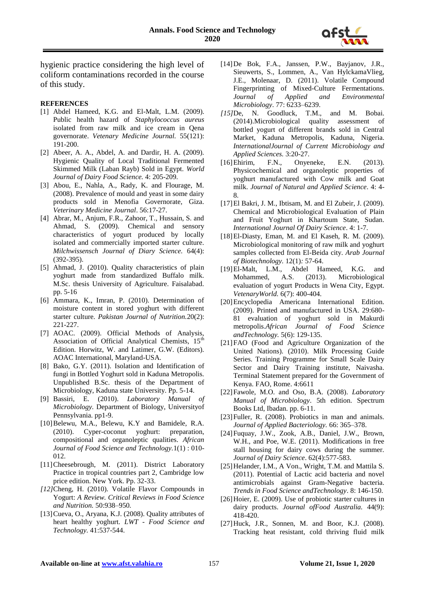

hygienic practice considering the high level of coliform contaminations recorded in the course of this study.

#### **REFERENCES**

- [1] Abdel Hameed, K.G. and El-Malt, L.M. (2009). Public health hazard of *Staphylococcus aureus*  isolated from raw milk and ice cream in Qena governorate. *Vetenary Medicine Journal.* 55(121): 191-200.
- [2] Abeer, A. A., Abdel, A. and Dardir, H. A. (2009). Hygienic Quality of Local Traditional Fermented Skimmed Milk (Laban Rayb) Sold in Egypt. *World Journal of Dairy Food Science.* 4: 205-209.
- [3] Abou, E., Nahla, A., Rady, K. and Flourage, M. (2008). Prevalence of mould and yeast in some dairy products sold in Menofia Governorate, Giza. *Veterinary Medicine Journal*. 56:17-27.
- [4] Abrar, M., Anjum, F.R., Zahoor, T., Hussain, S. and Ahmad, S. (2009). Chemical and sensory characteristics of yogurt produced by locally isolated and commercially imported starter culture. *Milchwissensch Journal of Diary Science.* 64(4): (392-395).
- [5] Ahmad, J. (2010). Quality characteristics of plain yoghurt made from standardized Buffalo milk. M.Sc. thesis University of Agriculture. Faisalabad. pp. 5-16
- [6] Ammara, K., Imran, P. (2010). Determination of moisture content in stored yoghurt with different starter culture. *Pakistan Journal of Nutrition.*20(2): 221-227.
- [7] AOAC. (2009). Official Methods of Analysis, Association of Official Analytical Chemists, 15<sup>th</sup> Edition. Horwitz, W. and Latimer, G.W. (Editors). AOAC International, Maryland-USA.
- [8] Bako, G.Y. (2011). Isolation and Identification of fungi in Bottled Yoghurt sold in Kaduna Metropolis. Unpublished B.Sc. thesis of the Department of Microbiology, Kaduna state University. Pp. 5-14.
- [9] Bassiri, E. (2010). *Laboratory Manual of Microbiology.* Department of Biology, Universityof Pennsylvania. pp1-9.
- [10]Belewu, M.A., Belewu, K.Y and Bamidele, R.A. (2010). Cyper-coconut yoghurt: preparation, compositional and organoleptic qualities. *African Journal of Food Science and Technology.*1(1) : 010- 012.
- [11]Cheesebrough, M. (2011). District Laboratory Practice in tropical countries part 2, Cambridge low price edition. New York. Pp. 32-33.
- *[12]*Cheng, H. (2010). Volatile Flavor Compounds in Yogurt: *A Review. Critical Reviews in Food Science and Nutrition.* 50:938–950*.*
- [13] Cueva, O., Aryana, K.J. (2008). Quality attributes of heart healthy yoghurt. *LWT - Food Science and Technology.* 41:537-544.
- [14]De Bok, F.A., Janssen, P.W., Bayjanov, J.R., Sieuwerts, S., Lommen, A., Van HylckamaVlieg, J.E., Molenaar, D. (2011). Volatile Compound Fingerprinting of Mixed-Culture Fermentations. *Journal of Applied and Environmental Microbiology*. 77: 6233–6239.
- *[15]*De, N. Goodluck, T.M., and M. Bobai. (2014).Microbiological quality assessment of bottled yogurt of different brands sold in Central Market, Kaduna Metropolis, Kaduna, Nigeria. *InternationalJournal of Current Microbiology and Applied Sciences.* 3:20-27.
- [16]Ehirim, F.N., Onyeneke, E.N. (2013). Physicochemical and organoleptic properties of yoghurt manufactured with Cow milk and Goat milk. *Journal of Natural and Applied Science*. 4: 4- 8.
- [17]El Bakri, J. M., Ibtisam, M. and El Zubeir, J. (2009). Chemical and Microbiological Evaluation of Plain and Fruit Yoghurt in Khartoum State, Sudan. *International Journal Of Dairy Science*. 4: 1-7.
- [18]El-Diasty, Eman, M. and El Kaseh, R. M. (2009). Microbiological monitoring of raw milk and yoghurt samples collected from El-Beida city. *Arab Journal of Biotechnology.* 12(1)*:* 57-64.
- [19]El-Malt, L.M., Abdel Hameed, K.G. and Mohammed, A.S. (2013). Microbiological evaluation of yogurt Products in Wena City, Egypt. *VetenaryWorld.* 6(7): 400-404.
- [20]Encyclopedia Americana International Edition. (2009). Printed and manufactured in USA. 29:680- 81 evaluation of yoghurt sold in Makurdi metropolis.*African Journal of Food Science andTechnology.* 5(6): 129-135.
- [21]FAO (Food and Agriculture Organization of the United Nations). (2010). Milk Processing Guide Series. Training Programme for Small Scale Dairy Sector and Dairy Training institute, Naivasha. Terminal Statement prepared for the Government of Kenya. FAO, Rome. 4:6611
- [22]Fawole, M.O. and Oso, B.A. (2008). *Laboratory Manual of Microbiology*. 5th edition. Spectrum Books Ltd, Ibadan. pp. 6-11.
- [23] Fuller, R. (2008). Probiotics in man and animals. *Journal of Applied Bacteriology.* 66: 365–378.
- [24]Fuquay, J.W., Zook, A.B., Daniel, J.W., Brown, W.H., and Poe, W.E. (2011). Modifications in free stall housing for dairy cows during the summer. *Journal of Dairy Science*. 62(4):577-583.
- [25] Helander, I.M., A Von., Wright, T.M. and Mattila S. (2011). Potential of Lactic acid bacteria and novel antimicrobials against Gram-Negative bacteria. *Trends in Food Science andTechnology*. 8: 146-150.
- [26] Hoier, E. (2009). Use of probiotic starter cultures in dairy products. *Journal ofFood Australia.* 44(9): 418-420.
- [27]Huck, J.R., Sonnen, M. and Boor, K.J. (2008). Tracking heat resistant, cold thriving fluid milk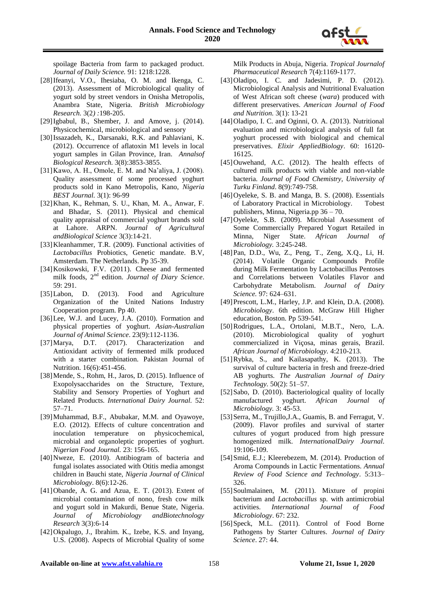spoilage Bacteria from farm to packaged product. *Journal of Daily Science.* 91: 1218:1228.

- [28]Ifeanyi, V.O., Ihesiaba, O. M. and Ikenga, C. (2013). Assessment of Microbiological quality of yogurt sold by street vendors in Onisha Metropolis, Anambra State, Nigeria. *British Microbiology Research.* 3(2*) :*198-205.
- [29]Igbabul, B., Shember, J. and Amove, j. (2014). Physicochemical, microbiological and sensory
- [30]Issazadeh, K., Darsanaki, R.K. and Pahlaviani, K. (2012). Occurrence of aflatoxin M1 levels in local yogurt samples in Gilan Province, Iran. *Annalsof Biological Research.* 3(8):3853-3855.
- [31]Kawo, A. H., Omole, E. M. and Na'aliya, J. (2008). Quality assessment of some processed yoghurt products sold in Kano Metropolis, Kano, *Nigeria BEST Journal.* 3(1): 96-99
- [32]Khan, K., Rehman, S. U., Khan, M. A., Anwar, F. and Bhadar, S. (2011). Physical and chemical quality appraisal of commercial yoghurt brands sold at Lahore. ARPN. *Journal of Agricultural andBiological Science* 3(3):14-21.
- [33]Kleanhammer, T.R. (2009). Functional activities of *Lactobacillus* Probiotics, Genetic mandate. B.V, Amsterdam. The Netherlands. Pp 35-39.
- [34]Kosikowski, F.V. (2011). Cheese and fermented milk foods, 2nd edition. *Journal of Diary Science*. 59: 291.
- [35]Labon, D. (2013). Food and Agriculture Organization of the United Nations Industry Cooperation program. Pp 40.
- [36] Lee, W.J. and Lucey, J.A. (2010). Formation and physical properties of yoghurt. *Asian-Australian Journal of Animal Science*. 23(9):112-1136.
- [37]Marya, D.T. (2017). Characterization and Antioxidant activity of fermented milk produced with a starter combination. Pakistan Journal of Nutrition. 16(6):451-456.
- [38]Mende, S., Rohm, H., Jaros, D. (2015). Influence of Exopolysaccharides on the Structure, Texture, Stability and Sensory Properties of Yoghurt and Related Products. *International Dairy Journal.* 52: 57–71.
- [39]Muhammad, B.F., Abubakar, M.M. and Oyawoye, E.O. (2012). Effects of culture concentration and inoculation temperature on physicochemical, microbial and organoleptic properties of yoghurt. *Nigerian Food Journal.* 23: 156-165.
- [40]Nweze, E. (2010). Antibiogram of bacteria and fungal isolates associated with Otitis media amongst children in Bauchi state, *Nigeria Journal of Clinical Microbiology*. 8(6):12-26.
- [41]Obande, A. G. and Azua, E. T. (2013). Extent of microbial contamination of nono, fresh cow milk and yogurt sold in Makurdi, Benue State, Nigeria. *Journal of Microbiology andBiotechnology Research* 3(3):6-14
- [42]Okpalugo, J., Ibrahim. K., Izebe, K.S. and Inyang, U.S. (2008). Aspects of Microbial Quality of some

Milk Products in Abuja, Nigeria. *Tropical Journalof Pharmaceutical Research* 7(4):1169-1177.

- [43]Oladipo, I. C. and Jadesimi, P. D. (2012). Microbiological Analysis and Nutritional Evaluation of West African soft cheese (*wara*) produced with different preservatives. *American Journal of Food and Nutrition.* 3(1): 13-21
- [44]Oladipo, I. C. and Oginni, O. A. (2013). Nutritional evaluation and microbiological analysis of full fat yoghurt processed with biological and chemical preservatives. *Elixir AppliedBiology*. 60: 16120- 16125.
- [45]Ouwehand, A.C. (2012). The health effects of cultured milk products with viable and non-viable bacteria. *Journal of Food Chemistry, University of Turku Finland*. 8(9):749-758.
- [46]Oyeleke, S. B. and Manga, B. S. (2008). Essentials of Laboratory Practical in Microbiology. Tobest publishers, Minna, Nigeria.pp 36 – 70.
- [47]Oyeleke, S.B. (2009). Microbial Assessment of Some Commercially Prepared Yogurt Retailed in Minna, Niger State. *African Journal of Microbiology.* 3:245-248.
- [48]Pan, D.D., Wu, Z., Peng, T., Zeng, X.Q., Li, H. (2014). Volatile Organic Compounds Profile during Milk Fermentation by Lactobacillus Pentoses and Correlations between Volatiles Flavor and Carbohydrate Metabolism. *Journal of Dairy Science.* 97: 624–631.
- [49] Prescott, L.M., Harley, J.P. and Klein, D.A. (2008). *Microbiology*. 6th edition. McGraw Hill Higher education, Boston. Pp 539-541.
- [50]Rodrigues, L.A., Ortolani, M.B.T., Nero, L.A. (2010). Microbiological quality of yoghurt commercialized in Viçosa, minas gerais, Brazil. *African Journal of Microbiology.* 4:210-213.
- [51]Rybka, S., and Kailasapathy, K. (2013). The survival of culture bacteria in fresh and freeze-dried AB yoghurts. *The Australian Journal of Dairy Technology.* 50(2): 51–57.
- [52]Sabo, D. (2010). Bacteriological quality of locally manufactured yoghurt. *African Journal of Microbiology.* 3: 45-53.
- [53] Serra, M., Trujillo, J.A., Guamis, B. and Ferragut, V. (2009). Flavor profiles and survival of starter cultures of yogurt produced from high pressure homogenized milk. *InternationalDairy Journal*. 19:106-109.
- [54]Smid, E.J.; Kleerebezem, M. (2014). Production of Aroma Compounds in Lactic Fermentations. *Annual Review of Food Science and Technology*. 5:313– 326.
- [55]Soulmalainen, M. (2011). Mixture of propini bacterium and *Lactobacillus* sp. with antimicrobial activities. *International Journal of Food Microbiology*. 67: 232.
- [56]Speck, M.L. (2011). Control of Food Borne Pathogens by Starter Cultures. *Journal of Dairy Science*. 27: 44.